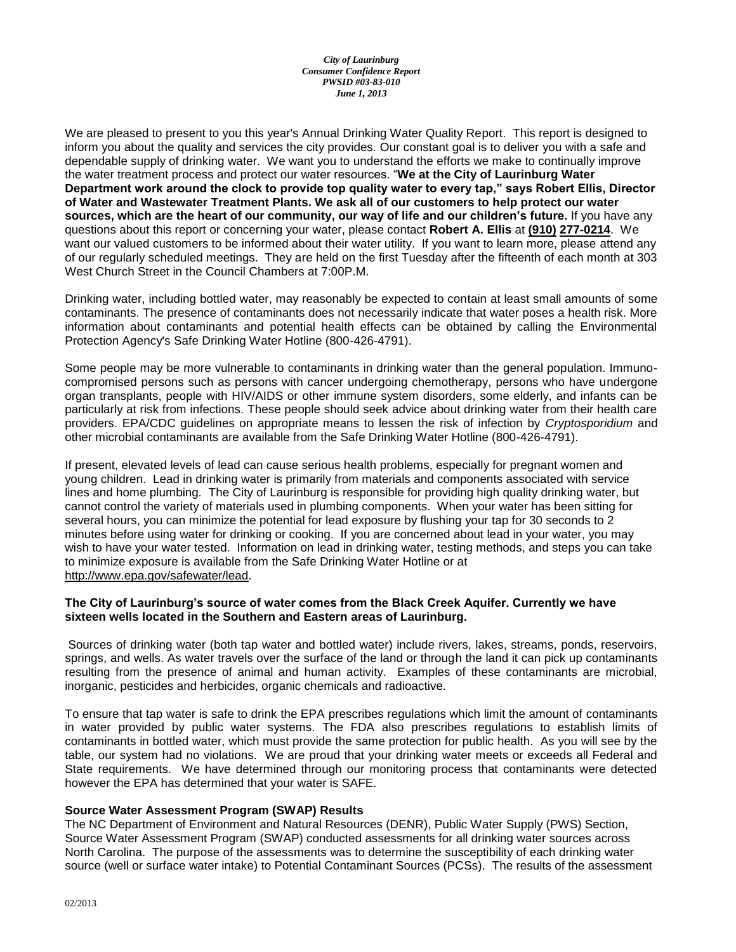#### *City of Laurinburg Consumer Confidence Report PWSID #03-83-010 June 1, 2013*

We are pleased to present to you this year's Annual Drinking Water Quality Report. This report is designed to inform you about the quality and services the city provides. Our constant goal is to deliver you with a safe and dependable supply of drinking water. We want you to understand the efforts we make to continually improve the water treatment process and protect our water resources. "**We at the City of Laurinburg Water Department work around the clock to provide top quality water to every tap," says Robert Ellis, Director of Water and Wastewater Treatment Plants. We ask all of our customers to help protect our water sources, which are the heart of our community, our way of life and our children's future.** If you have any questions about this report or concerning your water, please contact **Robert A. Ellis** at **(910) 277-0214**. We want our valued customers to be informed about their water utility. If you want to learn more, please attend any of our regularly scheduled meetings. They are held on the first Tuesday after the fifteenth of each month at 303 West Church Street in the Council Chambers at 7:00P.M.

Drinking water, including bottled water, may reasonably be expected to contain at least small amounts of some contaminants. The presence of contaminants does not necessarily indicate that water poses a health risk. More information about contaminants and potential health effects can be obtained by calling the Environmental Protection Agency's Safe Drinking Water Hotline (800-426-4791).

Some people may be more vulnerable to contaminants in drinking water than the general population. Immunocompromised persons such as persons with cancer undergoing chemotherapy, persons who have undergone organ transplants, people with HIV/AIDS or other immune system disorders, some elderly, and infants can be particularly at risk from infections. These people should seek advice about drinking water from their health care providers. EPA/CDC guidelines on appropriate means to lessen the risk of infection by *Cryptosporidium* and other microbial contaminants are available from the Safe Drinking Water Hotline (800-426-4791).

If present, elevated levels of lead can cause serious health problems, especially for pregnant women and young children. Lead in drinking water is primarily from materials and components associated with service lines and home plumbing. The City of Laurinburg is responsible for providing high quality drinking water, but cannot control the variety of materials used in plumbing components. When your water has been sitting for several hours, you can minimize the potential for lead exposure by flushing your tap for 30 seconds to 2 minutes before using water for drinking or cooking. If you are concerned about lead in your water, you may wish to have your water tested. Information on lead in drinking water, testing methods, and steps you can take to minimize exposure is available from the Safe Drinking Water Hotline or at [http://www.epa.gov/safewater/lead.](http://www.epa.gov/safewater/lead)

#### **The City of Laurinburg's source of water comes from the Black Creek Aquifer. Currently we have sixteen wells located in the Southern and Eastern areas of Laurinburg.**

Sources of drinking water (both tap water and bottled water) include rivers, lakes, streams, ponds, reservoirs, springs, and wells. As water travels over the surface of the land or through the land it can pick up contaminants resulting from the presence of animal and human activity. Examples of these contaminants are microbial, inorganic, pesticides and herbicides, organic chemicals and radioactive.

To ensure that tap water is safe to drink the EPA prescribes regulations which limit the amount of contaminants in water provided by public water systems. The FDA also prescribes regulations to establish limits of contaminants in bottled water, which must provide the same protection for public health. As you will see by the table, our system had no violations. We are proud that your drinking water meets or exceeds all Federal and State requirements. We have determined through our monitoring process that contaminants were detected however the EPA has determined that your water is SAFE.

### **Source Water Assessment Program (SWAP) Results**

The NC Department of Environment and Natural Resources (DENR), Public Water Supply (PWS) Section, Source Water Assessment Program (SWAP) conducted assessments for all drinking water sources across North Carolina. The purpose of the assessments was to determine the susceptibility of each drinking water source (well or surface water intake) to Potential Contaminant Sources (PCSs). The results of the assessment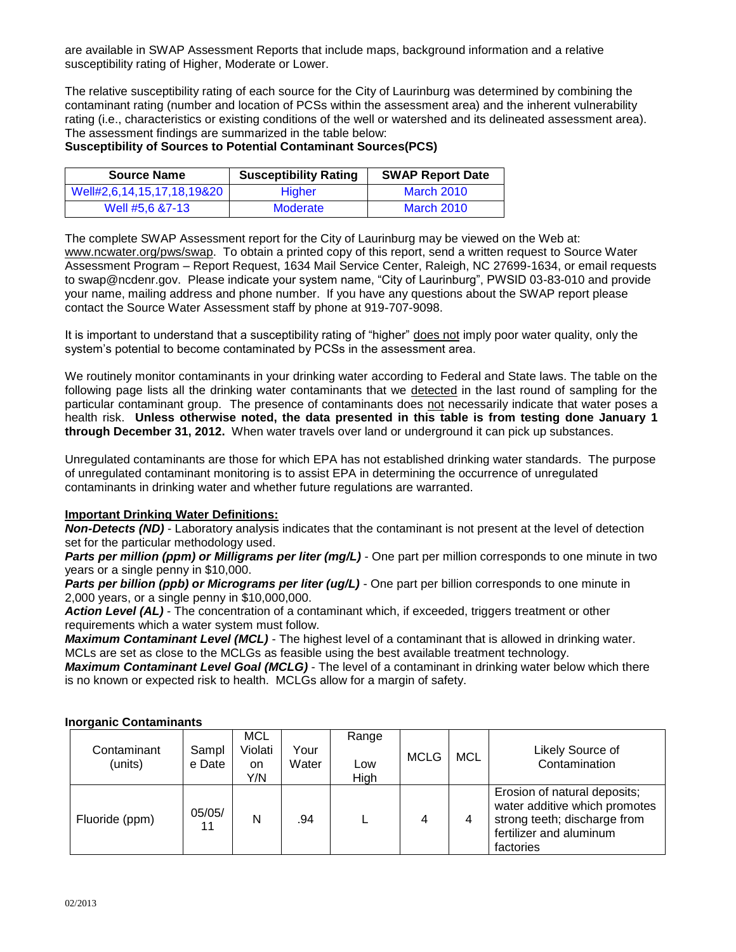are available in SWAP Assessment Reports that include maps, background information and a relative susceptibility rating of Higher, Moderate or Lower.

The relative susceptibility rating of each source for the City of Laurinburg was determined by combining the contaminant rating (number and location of PCSs within the assessment area) and the inherent vulnerability rating (i.e., characteristics or existing conditions of the well or watershed and its delineated assessment area). The assessment findings are summarized in the table below:

### **Susceptibility of Sources to Potential Contaminant Sources(PCS)**

| <b>Source Name</b>         | <b>Susceptibility Rating</b> | <b>SWAP Report Date</b> |  |
|----------------------------|------------------------------|-------------------------|--|
| Well#2,6,14,15,17,18,19&20 | <b>Higher</b>                | <b>March 2010</b>       |  |
| Well #5.6 &7-13            | Moderate                     | <b>March 2010</b>       |  |

The complete SWAP Assessment report for the City of Laurinburg may be viewed on the Web at: [www.ncwater.org/pws/swap.](http://www.ncwater.org/pws/swap) To obtain a printed copy of this report, send a written request to Source Water Assessment Program – Report Request, 1634 Mail Service Center, Raleigh, NC 27699-1634, or email requests to swap@ncdenr.gov. Please indicate your system name, "City of Laurinburg", PWSID 03-83-010 and provide your name, mailing address and phone number. If you have any questions about the SWAP report please contact the Source Water Assessment staff by phone at 919-707-9098.

It is important to understand that a susceptibility rating of "higher" does not imply poor water quality, only the system's potential to become contaminated by PCSs in the assessment area.

We routinely monitor contaminants in your drinking water according to Federal and State laws. The table on the following page lists all the drinking water contaminants that we detected in the last round of sampling for the particular contaminant group. The presence of contaminants does not necessarily indicate that water poses a health risk. **Unless otherwise noted, the data presented in this table is from testing done January 1 through December 31, 2012.** When water travels over land or underground it can pick up substances.

Unregulated contaminants are those for which EPA has not established drinking water standards. The purpose of unregulated contaminant monitoring is to assist EPA in determining the occurrence of unregulated contaminants in drinking water and whether future regulations are warranted.

#### **Important Drinking Water Definitions:**

*Non-Detects (ND)* - Laboratory analysis indicates that the contaminant is not present at the level of detection set for the particular methodology used.

*Parts per million (ppm) or Milligrams per liter (mg/L)* - One part per million corresponds to one minute in two years or a single penny in \$10,000.

*Parts per billion (ppb) or Micrograms per liter (ug/L)* - One part per billion corresponds to one minute in 2,000 years, or a single penny in \$10,000,000.

*Action Level (AL) -* The concentration of a contaminant which, if exceeded, triggers treatment or other requirements which a water system must follow.

*Maximum Contaminant Level (MCL)* - The highest level of a contaminant that is allowed in drinking water. MCLs are set as close to the MCLGs as feasible using the best available treatment technology.

*Maximum Contaminant Level Goal (MCLG)* - The level of a contaminant in drinking water below which there is no known or expected risk to health. MCLGs allow for a margin of safety.

### **Inorganic Contaminants**

| Contaminant<br>(units) | Sampl<br>e Date | MCL<br>Violati<br>on<br>Y/N | Your<br>Water | Range<br>Low<br>High | <b>MCLG</b> | <b>MCL</b> | Likely Source of<br>Contamination                                                                                                     |
|------------------------|-----------------|-----------------------------|---------------|----------------------|-------------|------------|---------------------------------------------------------------------------------------------------------------------------------------|
| Fluoride (ppm)         | 05/05/<br>11    | N                           | .94           |                      | 4           | 4          | Erosion of natural deposits;<br>water additive which promotes<br>strong teeth; discharge from<br>fertilizer and aluminum<br>factories |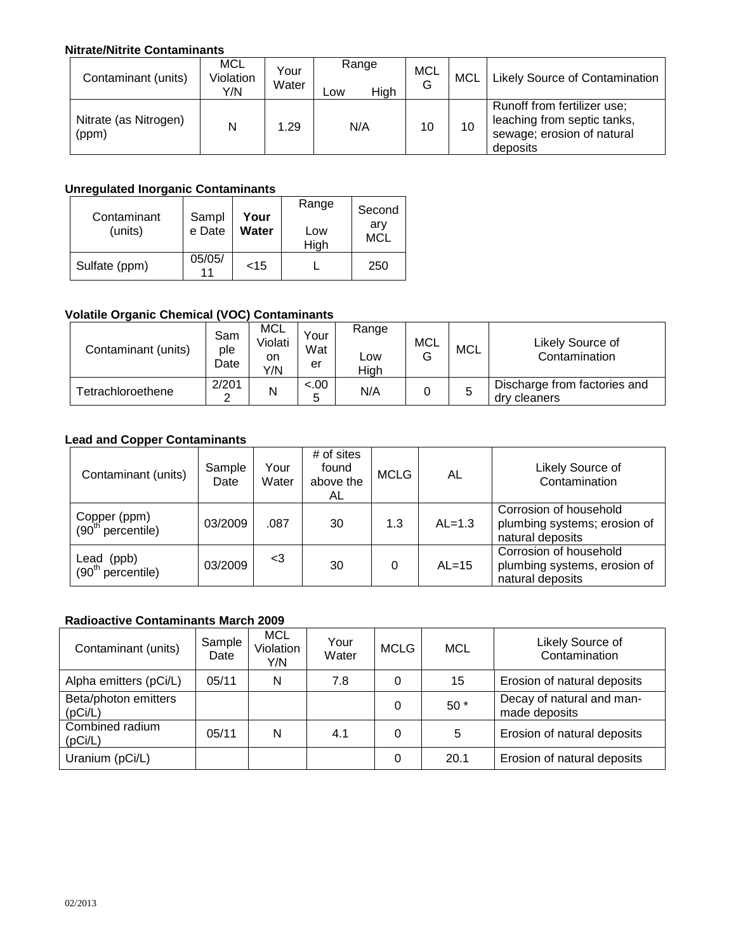### **Nitrate/Nitrite Contaminants**

| Contaminant (units)            | MCL<br>Violation<br>Y/N | Your<br>Water | Range<br>High<br>-ow | <b>MCL</b><br>G | <b>MCL</b> | Likely Source of Contamination                                                                       |
|--------------------------------|-------------------------|---------------|----------------------|-----------------|------------|------------------------------------------------------------------------------------------------------|
| Nitrate (as Nitrogen)<br>(ppm) | N                       | 1.29          | N/A                  | 10              | 10         | Runoff from fertilizer use;<br>leaching from septic tanks,<br>sewage; erosion of natural<br>deposits |

# **Unregulated Inorganic Contaminants**

| Contaminant<br>(units) | Sampl<br>e Date | Your<br>Water | Range<br>Low<br>High | Second<br>arv<br><b>MCL</b> |
|------------------------|-----------------|---------------|----------------------|-----------------------------|
| Sulfate (ppm)          | 05/05/          | $<$ 15        |                      | 250                         |

# **Volatile Organic Chemical (VOC) Contaminants**

| Contaminant (units) | Sam<br>ple<br>Date | MCL<br>Violati<br>on<br>Y/N | Your<br>Wat<br>er | Range<br>_OW<br>High | MCL<br>ت | <b>MCL</b> | Likely Source of<br>Contamination            |
|---------------------|--------------------|-----------------------------|-------------------|----------------------|----------|------------|----------------------------------------------|
| Tetrachloroethene   | 2/201<br>⌒         | N                           | $-.00$<br>∽       | N/A                  |          | 5          | Discharge from factories and<br>dry cleaners |

## **Lead and Copper Contaminants**

| Contaminant (units)                  | Sample<br>Date | Your<br>Water | # of sites<br>found<br>above the<br>AL | <b>MCLG</b> | AL       | Likely Source of<br>Contamination                                          |
|--------------------------------------|----------------|---------------|----------------------------------------|-------------|----------|----------------------------------------------------------------------------|
| Copper (ppm)<br>$(90th$ percentile)  | 03/2009        | .087          | 30                                     | 1.3         | $AL=1.3$ | Corrosion of household<br>plumbing systems; erosion of<br>natural deposits |
| (ppb)<br>Lead<br>$(90th$ percentile) | 03/2009        | <3            | 30                                     |             | $AL=15$  | Corrosion of household<br>plumbing systems, erosion of<br>natural deposits |

### **Radioactive Contaminants March 2009**

| Contaminant (units)             | Sample<br>Date | <b>MCL</b><br>Violation<br>Y/N | Your<br>Water | <b>MCLG</b> | <b>MCL</b> | Likely Source of<br>Contamination          |
|---------------------------------|----------------|--------------------------------|---------------|-------------|------------|--------------------------------------------|
| Alpha emitters (pCi/L)          | 05/11          | N                              | 7.8           | 0           | 15         | Erosion of natural deposits                |
| Beta/photon emitters<br>(pCi/L) |                |                                |               | 0           | $50*$      | Decay of natural and man-<br>made deposits |
| Combined radium<br>(pCi/L)      | 05/11          | N                              | 4.1           | 0           | 5          | Erosion of natural deposits                |
| Uranium (pCi/L)                 |                |                                |               | 0           | 20.1       | Erosion of natural deposits                |